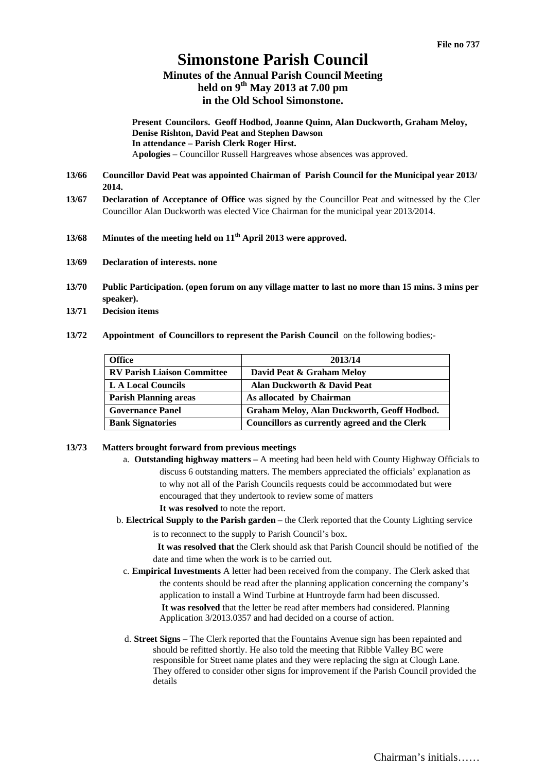## **Simonstone Parish Council**

## **Minutes of the Annual Parish Council Meeting held on 9th May 2013 at 7.00 pm in the Old School Simonstone.**

**Present Councilors. Geoff Hodbod, Joanne Quinn, Alan Duckworth, Graham Meloy, Denise Rishton, David Peat and Stephen Dawson In attendance – Parish Clerk Roger Hirst.**  A**pologies** – Councillor Russell Hargreaves whose absences was approved.

- **13/66 Councillor David Peat was appointed Chairman of Parish Council for the Municipal year 2013/ 2014.**
- **13/67 Declaration of Acceptance of Office** was signed by the Councillor Peat and witnessed by the Cler Councillor Alan Duckworth was elected Vice Chairman for the municipal year 2013/2014.
- **13/68 Minutes of the meeting held on 11th April 2013 were approved.**
- **13/69 Declaration of interests. none**
- **13/70 Public Participation. (open forum on any village matter to last no more than 15 mins. 3 mins per speaker).**
- **13/71 Decision items**
- **13/72 Appointment of Councillors to represent the Parish Council** on the following bodies;-

| <b>Office</b>                      | 2013/14                                       |
|------------------------------------|-----------------------------------------------|
| <b>RV Parish Liaison Committee</b> | David Peat & Graham Meloy                     |
| <b>LA Local Councils</b>           | <b>Alan Duckworth &amp; David Peat</b>        |
| <b>Parish Planning areas</b>       | As allocated by Chairman                      |
| <b>Governance Panel</b>            | Graham Meloy, Alan Duckworth, Geoff Hodbod.   |
| <b>Bank Signatories</b>            | Councillors as currently agreed and the Clerk |

#### **13/73 Matters brought forward from previous meetings**

- a. **Outstanding highway matters** A meeting had been held with County Highway Officials to discuss 6 outstanding matters. The members appreciated the officials' explanation as to why not all of the Parish Councils requests could be accommodated but were encouraged that they undertook to review some of matters
	- **It was resolved** to note the report.
- b. **Electrical Supply to the Parish garden** the Clerk reported that the County Lighting service

is to reconnect to the supply to Parish Council's box.

 **It was resolved that** the Clerk should ask that Parish Council should be notified of the date and time when the work is to be carried out.

- c. **Empirical Investments** A letter had been received from the company. The Clerk asked that the contents should be read after the planning application concerning the company's application to install a Wind Turbine at Huntroyde farm had been discussed. **It was resolved** that the letter be read after members had considered. Planning Application 3/2013.0357 and had decided on a course of action.
- d. **Street Signs** The Clerk reported that the Fountains Avenue sign has been repainted and should be refitted shortly. He also told the meeting that Ribble Valley BC were responsible for Street name plates and they were replacing the sign at Clough Lane. They offered to consider other signs for improvement if the Parish Council provided the details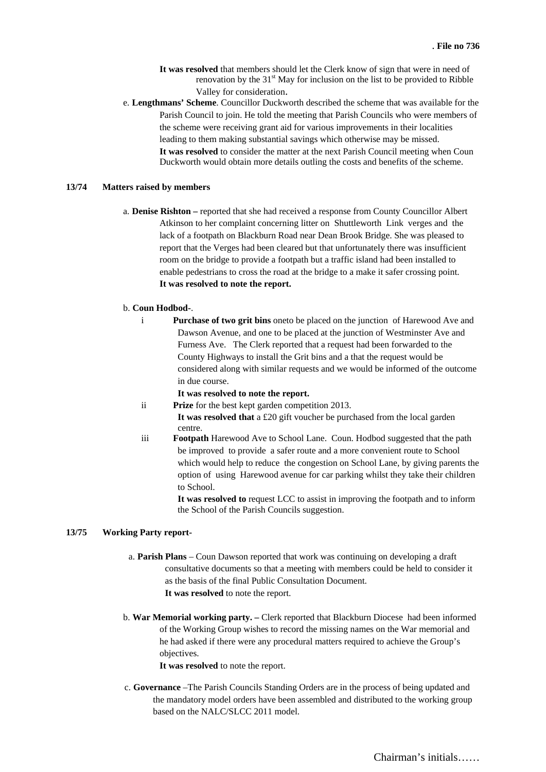- **It was resolved** that members should let the Clerk know of sign that were in need of renovation by the  $31<sup>st</sup>$  May for inclusion on the list to be provided to Ribble
- Valley for consideration. e. **Lengthmans' Scheme**. Councillor Duckworth described the scheme that was available for the Parish Council to join. He told the meeting that Parish Councils who were members of the scheme were receiving grant aid for various improvements in their localities leading to them making substantial savings which otherwise may be missed. **It was resolved** to consider the matter at the next Parish Council meeting when Coun Duckworth would obtain more details outling the costs and benefits of the scheme.

#### **13/74 Matters raised by members**

a. **Denise Rishton –** reported that she had received a response from County Councillor Albert Atkinson to her complaint concerning litter on Shuttleworth Link verges and the lack of a footpath on Blackburn Road near Dean Brook Bridge. She was pleased to report that the Verges had been cleared but that unfortunately there was insufficient room on the bridge to provide a footpath but a traffic island had been installed to enable pedestrians to cross the road at the bridge to a make it safer crossing point. **It was resolved to note the report.**

#### b. **Coun Hodbod-**.

i **Purchase of two grit bins** oneto be placed on the junction of Harewood Ave and Dawson Avenue, and one to be placed at the junction of Westminster Ave and Furness Ave. The Clerk reported that a request had been forwarded to the County Highways to install the Grit bins and a that the request would be considered along with similar requests and we would be informed of the outcome in due course.

#### **It was resolved to note the report.**

ii **Prize** for the best kept garden competition 2013.

**It was resolved that** a £20 gift voucher be purchased from the local garden centre.

iii **Footpath** Harewood Ave to School Lane. Coun. Hodbod suggested that the path be improved to provide a safer route and a more convenient route to School which would help to reduce the congestion on School Lane, by giving parents the option of using Harewood avenue for car parking whilst they take their children to School.

> **It was resolved to** request LCC to assist in improving the footpath and to inform the School of the Parish Councils suggestion.

#### **13/75 Working Party report-**

- a. **Parish Plans** Coun Dawson reported that work was continuing on developing a draft consultative documents so that a meeting with members could be held to consider it as the basis of the final Public Consultation Document. **It was resolved** to note the report.
- b. **War Memorial working party.** Clerk reported that Blackburn Diocese had been informed of the Working Group wishes to record the missing names on the War memorial and he had asked if there were any procedural matters required to achieve the Group's objectives.

**It was resolved** to note the report.

c. **Governance** –The Parish Councils Standing Orders are in the process of being updated and the mandatory model orders have been assembled and distributed to the working group based on the NALC/SLCC 2011 model.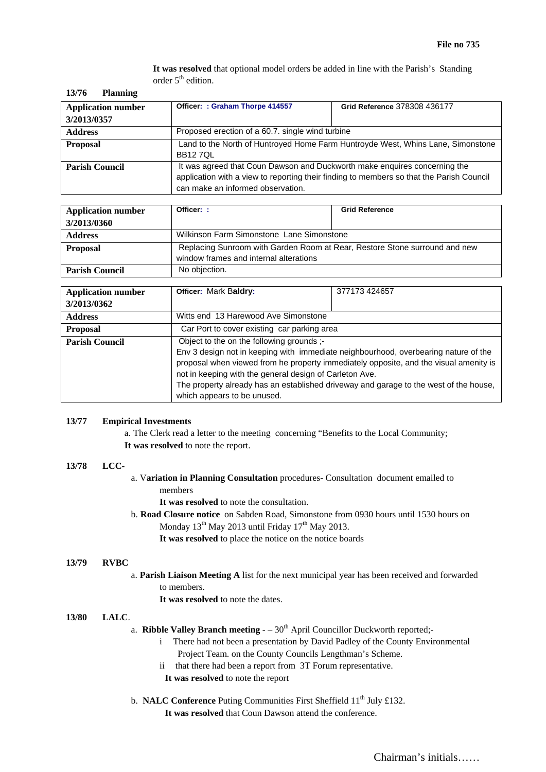**It was resolved** that optional model orders be added in line with the Parish's Standing order  $5<sup>th</sup>$  edition.

| 13/76<br><b>Planning</b> |
|--------------------------|
|--------------------------|

| <b>Application number</b><br>3/2013/0357 | Officer: : Graham Thorpe 414557                                                                                                                                                                            | Grid Reference 378308 436177                                                    |
|------------------------------------------|------------------------------------------------------------------------------------------------------------------------------------------------------------------------------------------------------------|---------------------------------------------------------------------------------|
| <b>Address</b>                           | Proposed erection of a 60.7. single wind turbine                                                                                                                                                           |                                                                                 |
| <b>Proposal</b>                          | <b>BB127QL</b>                                                                                                                                                                                             | Land to the North of Huntroyed Home Farm Huntroyde West, Whins Lane, Simonstone |
| <b>Parish Council</b>                    | It was agreed that Coun Dawson and Duckworth make enquires concerning the<br>application with a view to reporting their finding to members so that the Parish Council<br>can make an informed observation. |                                                                                 |

| <b>Application number</b> | Officer: :                                                                 | <b>Grid Reference</b> |
|---------------------------|----------------------------------------------------------------------------|-----------------------|
| 3/2013/0360               |                                                                            |                       |
| <b>Address</b>            | Wilkinson Farm Simonstone Lane Simonstone                                  |                       |
| <b>Proposal</b>           | Replacing Sunroom with Garden Room at Rear, Restore Stone surround and new |                       |
|                           | window frames and internal alterations                                     |                       |
| <b>Parish Council</b>     | No objection.                                                              |                       |

| <b>Application number</b> | <b>Officer: Mark Baldry:</b>                                                                                                                                                                                                                                                                                                                                    | 377173 424657 |
|---------------------------|-----------------------------------------------------------------------------------------------------------------------------------------------------------------------------------------------------------------------------------------------------------------------------------------------------------------------------------------------------------------|---------------|
| 3/2013/0362               |                                                                                                                                                                                                                                                                                                                                                                 |               |
| <b>Address</b>            | Witts end 13 Harewood Ave Simonstone                                                                                                                                                                                                                                                                                                                            |               |
| <b>Proposal</b>           | Car Port to cover existing car parking area                                                                                                                                                                                                                                                                                                                     |               |
| <b>Parish Council</b>     | Object to the on the following grounds ;-                                                                                                                                                                                                                                                                                                                       |               |
|                           | Env 3 design not in keeping with immediate neighbourhood, overbearing nature of the<br>proposal when viewed from he property immediately opposite, and the visual amenity is<br>not in keeping with the general design of Carleton Ave.<br>The property already has an established driveway and garage to the west of the house,<br>which appears to be unused. |               |

#### **13/77 Empirical Investments**

a. The Clerk read a letter to the meeting concerning "Benefits to the Local Community;

**It was resolved** to note the report.

#### **13/78 LCC-**

a. V**ariation in Planning Consultation** procedures- Consultation document emailed to members

**It was resolved** to note the consultation.

b. **Road Closure notice** on Sabden Road, Simonstone from 0930 hours until 1530 hours on Monday  $13<sup>th</sup>$  May 2013 until Friday  $17<sup>th</sup>$  May 2013.

**It was resolved** to place the notice on the notice boards

#### **13/79 RVBC**

a. **Parish Liaison Meeting A** list for the next municipal year has been received and forwarded to members.

**It was resolved** to note the dates.

#### **13/80 LALC**.

- a. **Ribble Valley Branch meeting**  $-30<sup>th</sup>$  April Councillor Duckworth reported;
	- i There had not been a presentation by David Padley of the County Environmental Project Team. on the County Councils Lengthman's Scheme.
	- ii that there had been a report from 3T Forum representative.
	- **It was resolved** to note the report
- b. **NALC Conference** Puting Communities First Sheffield 11<sup>th</sup> July £132. **It was resolved** that Coun Dawson attend the conference.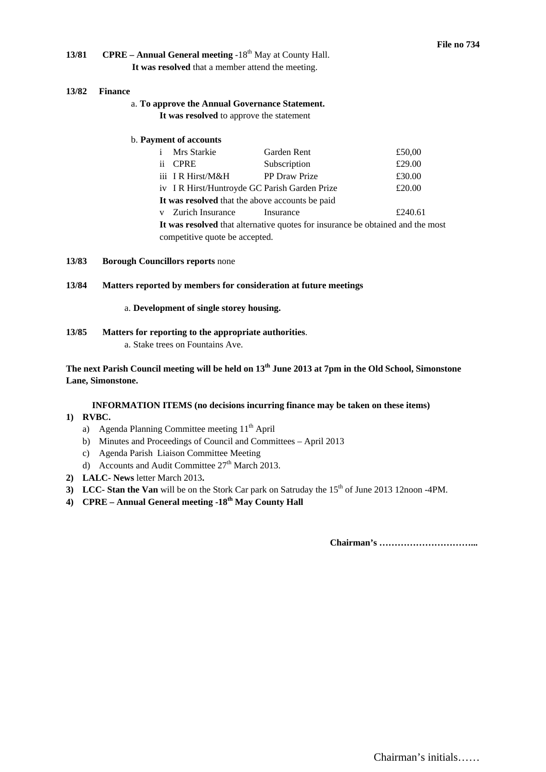## **13/81 CPRE – Annual General meeting -18th May at County Hall. It was resolved** that a member attend the meeting.

#### **13/82 Finance**

a. **To approve the Annual Governance Statement.**

**It was resolved** to approve the statement

#### b. **Payment of accounts**

|                                                                                | <i>i</i> Mrs Starkie                          | Garden Rent   | £50,00  |
|--------------------------------------------------------------------------------|-----------------------------------------------|---------------|---------|
|                                                                                | ii CPRE                                       | Subscription  | £29.00  |
|                                                                                | iii IR Hirst/M&H                              | PP Draw Prize | £30.00  |
|                                                                                | iv I R Hirst/Huntroyde GC Parish Garden Prize |               | £20.00  |
| It was resolved that the above accounts be paid                                |                                               |               |         |
|                                                                                | v Zurich Insurance Insurance                  |               | £240.61 |
| It was resolved that alternative quotes for insurance be obtained and the most |                                               |               |         |
|                                                                                | competitive quote be accepted.                |               |         |

#### **13/83 Borough Councillors reports** none

#### **13/84 Matters reported by members for consideration at future meetings**

#### a. **Development of single storey housing.**

#### **13/85 Matters for reporting to the appropriate authorities**.

a. Stake trees on Fountains Ave.

### The next Parish Council meeting will be held on 13<sup>th</sup> June 2013 at 7pm in the Old School, Simonstone **Lane, Simonstone.**

#### **INFORMATION ITEMS (no decisions incurring finance may be taken on these items)**

#### **1) RVBC.**

- a) Agenda Planning Committee meeting  $11<sup>th</sup>$  April
- b) Minutes and Proceedings of Council and Committees April 2013
- c) Agenda Parish Liaison Committee Meeting
- d) Accounts and Audit Committee  $27<sup>th</sup>$  March 2013.
- **2) LALC- News** letter March 2013**.**
- **3) LCC- Stan the Van** will be on the Stork Car park on Satruday the 15<sup>th</sup> of June 2013 12noon -4PM.
- **4) CPRE Annual General meeting -18th May County Hall**

**Chairman's …………………………...**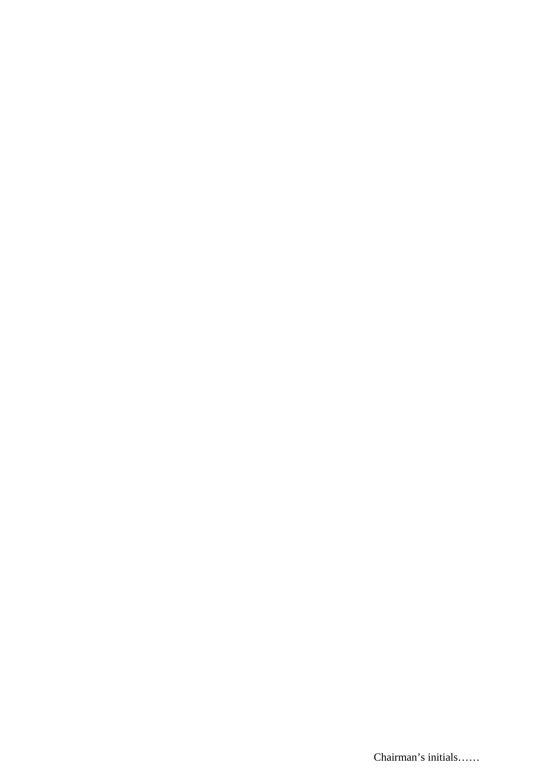Chairman's initials......